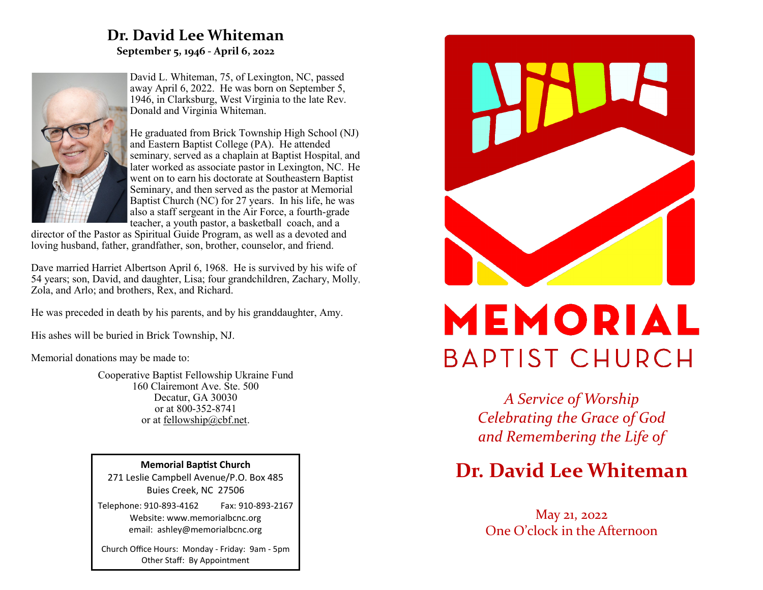## **Dr. David Lee Whiteman September 5, 1946 - April 6, 2022**



David L. Whiteman, 75, of Lexington, NC, passed away April 6, 2022. He was born on September 5, 1946, in Clarksburg, West Virginia to the late Rev. Donald and Virginia Whiteman.

He graduated from Brick Township High School (NJ) and Eastern Baptist College (PA). He attended seminary, served as a chaplain at Baptist Hospital, and later worked as associate pastor in Lexington, NC. He went on to earn his doctorate at Southeastern Baptist Seminary, and then served as the pastor at Memorial Baptist Church (NC) for 27 years. In his life, he was also a staff sergeant in the Air Force, a fourth-grade teacher, a youth pastor, a basketball coach, and a

director of the Pastor as Spiritual Guide Program, as well as a devoted and loving husband, father, grandfather, son, brother, counselor, and friend.

Dave married Harriet Albertson April 6, 1968. He is survived by his wife of 54 years; son, David, and daughter, Lisa; four grandchildren, Zachary, Molly, Zola, and Arlo; and brothers, Rex, and Richard.

He was preceded in death by his parents, and by his granddaughter, Amy.

His ashes will be buried in Brick Township, NJ.

Memorial donations may be made to:

Cooperative Baptist Fellowship Ukraine Fund 160 Clairemont Ave. Ste. 500 Decatur, GA 30030 or at 800-352-8741 or at [fellowship@cbf.net.](mailto:fellowship@cbf.net)

**Memorial Baptist Church** 271 Leslie Campbell Avenue/P.O. Box 485 Buies Creek, NC 27506

Telephone: 910-893-4162 Fax: 910-893-2167 Website: www.memorialbcnc.org email: ashley@memorialbcnc.org

Church Office Hours: Monday - Friday: 9am - 5pm Other Staff: By Appointment



# MEMORIAL **BAPTIST CHURCH**

*A Service of Worship Celebrating the Grace of God and Remembering the Life of*

# **Dr. David Lee Whiteman**

May 21, 2022 One O'clock in the Afternoon